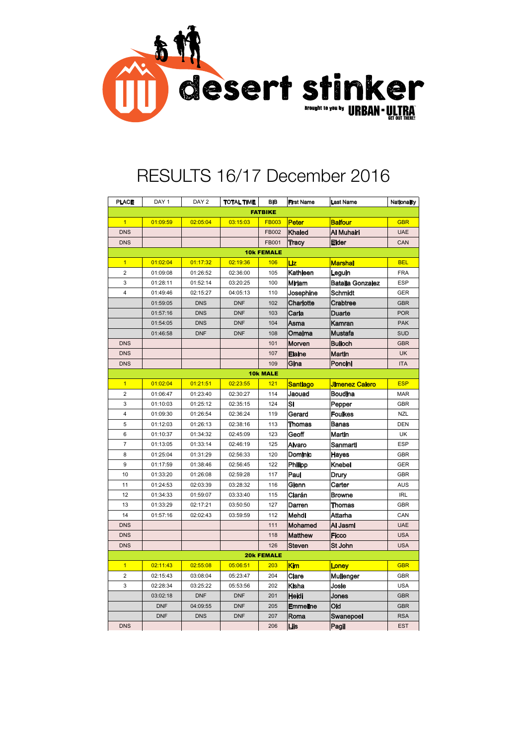

## RESULTS 16/17 December 2016

| <b>PLACE</b>            | DAY <sub>1</sub> | DAY <sub>2</sub> | <b>TOTAL TIME</b> | <b>BIB</b>        | <b>First Name</b> | <b>Last Name</b>        | <b>Nationality</b> |  |  |  |  |
|-------------------------|------------------|------------------|-------------------|-------------------|-------------------|-------------------------|--------------------|--|--|--|--|
| <b>FATBIKE</b>          |                  |                  |                   |                   |                   |                         |                    |  |  |  |  |
| $\overline{1}$          | 01:09:59         | 02:05:04         | 03:15:03          | <b>FB003</b>      | <b>Peter</b>      | <b>Balfour</b>          | <b>GBR</b>         |  |  |  |  |
| <b>DNS</b>              |                  |                  |                   | FB002             | <b>Khaled</b>     | Al Muhairi              | <b>UAE</b>         |  |  |  |  |
| <b>DNS</b>              |                  |                  |                   | FB001             | Tracy             | Elder                   | CAN                |  |  |  |  |
| <b>10k FEMALE</b>       |                  |                  |                   |                   |                   |                         |                    |  |  |  |  |
| $\overline{1}$          | 01:02:04         | 01:17:32         | 02:19:36          | 106               | Liz               | <b>Marshal</b>          | <b>BEL</b>         |  |  |  |  |
| $\overline{2}$          | 01:09:08         | 01:26:52         | 02:36:00          | 105               | Kathleen          | Leguin                  | <b>FRA</b>         |  |  |  |  |
| 3                       | 01:28:11         | 01:52:14         | 03:20:25          | 100               | Miriam            | <b>Batalla Gonzalez</b> | <b>ESP</b>         |  |  |  |  |
| $\overline{4}$          | 01:49:46         | 02:15:27         | 04:05:13          | 110               | Josephine         | <b>Schmidt</b>          | GER                |  |  |  |  |
|                         | 01:59:05         | <b>DNS</b>       | <b>DNF</b>        | 102               | Charlotte         | Crabtree                | <b>GBR</b>         |  |  |  |  |
|                         | 01:57:16         | <b>DNS</b>       | <b>DNF</b>        | 103               | Carla             | Duarte                  | <b>POR</b>         |  |  |  |  |
|                         | 01:54:05         | <b>DNS</b>       | <b>DNF</b>        | 104               | Asma              | Kamran                  | <b>PAK</b>         |  |  |  |  |
|                         | 01:46:58         | <b>DNF</b>       | <b>DNF</b>        | 108               | Omaima            | Mustafa                 | <b>SUD</b>         |  |  |  |  |
| <b>DNS</b>              |                  |                  |                   | 101               | Morven            | <b>Bulloch</b>          | <b>GBR</b>         |  |  |  |  |
| <b>DNS</b>              |                  |                  |                   | 107               | Elaine            | <b>Martin</b>           | <b>UK</b>          |  |  |  |  |
| <b>DNS</b>              |                  |                  |                   | 109               | Gina              | Poncini                 | <b>ITA</b>         |  |  |  |  |
| <b>10k MALE</b>         |                  |                  |                   |                   |                   |                         |                    |  |  |  |  |
| $\overline{1}$          | 01:02:04         | 01:21:51         | 02:23:55          | 121               | Santiago          | Jimenez Calero          | <b>ESP</b>         |  |  |  |  |
| $\overline{c}$          | 01:06:47         | 01:23:40         | 02:30:27          | 114               | Jaouad            | <b>Boudina</b>          | <b>MAR</b>         |  |  |  |  |
| 3                       | 01:10:03         | 01:25:12         | 02:35:15          | 124               | Si                | Pepper                  | <b>GBR</b>         |  |  |  |  |
| $\overline{\mathbf{4}}$ | 01:09:30         | 01:26:54         | 02:36:24          | 119               | Gerard            | <b>Foulkes</b>          | <b>NZL</b>         |  |  |  |  |
| 5                       | 01:12:03         | 01:26:13         | 02:38:16          | 113               | Thomas            | <b>Banas</b>            | <b>DEN</b>         |  |  |  |  |
| 6                       | 01:10:37         | 01:34:32         | 02:45:09          | 123               | Geoff             | Martin                  | UK                 |  |  |  |  |
| $\overline{7}$          | 01:13:05         | 01:33:14         | 02:46:19          | 125               | Alvaro            | Sanmarti                | <b>ESP</b>         |  |  |  |  |
| 8                       | 01:25:04         | 01:31:29         | 02:56:33          | 120               | Dominic           | Hayes                   | <b>GBR</b>         |  |  |  |  |
| 9                       | 01:17:59         | 01:38:46         | 02:56:45          | 122               | Philipp           | Knebel                  | <b>GER</b>         |  |  |  |  |
| 10                      | 01:33:20         | 01:26:08         | 02:59:28          | 117               | Paul              | Drury                   | GBR                |  |  |  |  |
| 11                      | 01:24:53         | 02:03:39         | 03:28:32          | 116               | Glenn             | Carter                  | AUS                |  |  |  |  |
| 12                      | 01:34:33         | 01:59:07         | 03:33:40          | 115               | Ciarán            | <b>Browne</b>           | <b>IRL</b>         |  |  |  |  |
| 13                      | 01:33:29         | 02:17:21         | 03:50:50          | 127               | Darren            | Thomas                  | <b>GBR</b>         |  |  |  |  |
| 14                      | 01:57:16         | 02:02:43         | 03:59:59          | 112               | Mehdi             | Attarha                 | CAN                |  |  |  |  |
| <b>DNS</b>              |                  |                  |                   | 111               | Mohamed           | Al Jasmi                | <b>UAE</b>         |  |  |  |  |
| <b>DNS</b>              |                  |                  |                   | 118               | <b>Matthew</b>    | Ficco                   | <b>USA</b>         |  |  |  |  |
| <b>DNS</b>              |                  |                  |                   | 126               | <b>Steven</b>     | St John                 | <b>USA</b>         |  |  |  |  |
|                         |                  |                  |                   | <b>20k FEMALE</b> |                   |                         |                    |  |  |  |  |
| $\overline{1}$          | 02:11:43         | 02:55:08         | 05:06:51          | 203               | Kim               | Loney                   | <b>GBR</b>         |  |  |  |  |
| $\overline{2}$          | 02:15:43         | 03:08:04         | 05:23:47          | 204               | Clare             | Mullenger               | <b>GBR</b>         |  |  |  |  |
| 3                       | 02:28:34         | 03:25:22         | 05:53:56          | 202               | Kisha             | Josie                   | <b>USA</b>         |  |  |  |  |
|                         | 03:02:18         | <b>DNF</b>       | <b>DNF</b>        | 201               | Heidi             | Jones                   | <b>GBR</b>         |  |  |  |  |
|                         | <b>DNF</b>       | 04:09:55         | <b>DNF</b>        | 205               | <b>Emmeline</b>   | Old                     | <b>GBR</b>         |  |  |  |  |
|                         | <b>DNF</b>       | <b>DNS</b>       | <b>DNF</b>        | 207               | Roma              | Swanepoel               | <b>RSA</b>         |  |  |  |  |
| <b>DNS</b>              |                  |                  |                   | 206               | Liis              | Pagil                   | <b>EST</b>         |  |  |  |  |